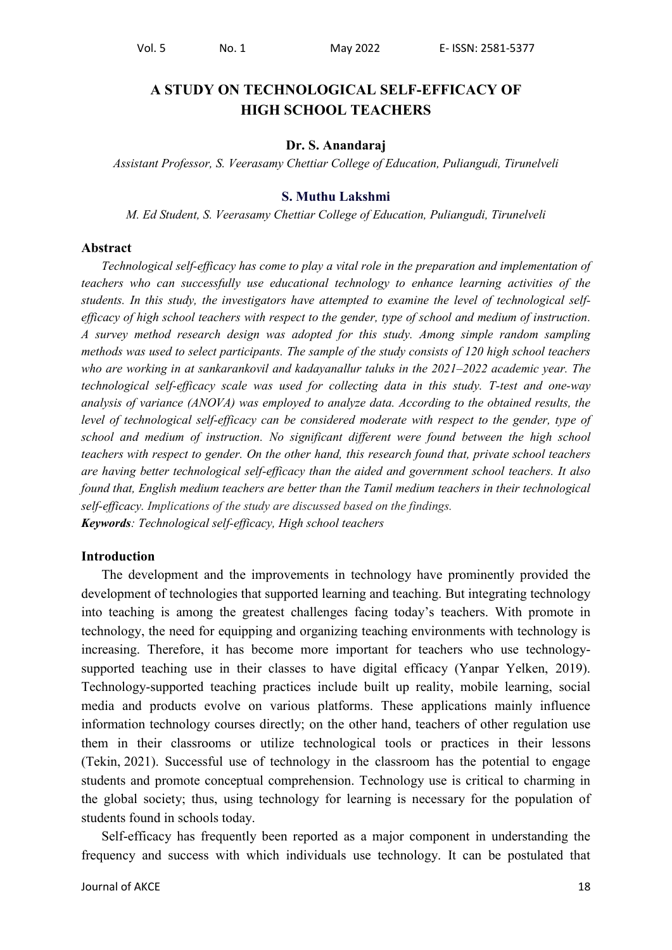# **A STUDY ON TECHNOLOGICAL SELF-EFFICACY OF HIGH SCHOOL TEACHERS**

#### **Dr. S. Anandaraj**

*Assistant Professor, S. Veerasamy Chettiar College of Education, Puliangudi, Tirunelveli*

#### **S. Muthu Lakshmi**

*M. Ed Student, S. Veerasamy Chettiar College of Education, Puliangudi, Tirunelveli*

#### **Abstract**

*Technological self-efficacy has come to play a vital role in the preparation and implementation of teachers who can successfully use educational technology to enhance learning activities of the students. In this study, the investigators have attempted to examine the level of technological selfefficacy of high school teachers with respect to the gender, type of school and medium of instruction. A survey method research design was adopted for this study. Among simple random sampling methods was used to select participants. The sample of the study consists of 120 high school teachers who are working in at sankarankovil and kadayanallur taluks in the 2021–2022 academic year. The technological self-efficacy scale was used for collecting data in this study. T-test and one-way analysis of variance (ANOVA) was employed to analyze data. According to the obtained results, the level of technological self-efficacy can be considered moderate with respect to the gender, type of school and medium of instruction. No significant different were found between the high school teachers with respect to gender. On the other hand, this research found that, private school teachers are having better technological self-efficacy than the aided and government school teachers. It also found that, English medium teachers are better than the Tamil medium teachers in their technological self-efficacy. Implications of the study are discussed based on the findings. Keywords: Technological self-efficacy, High school teachers*

#### **Introduction**

The development and the improvements in technology have prominently provided the development of technologies that supported learning and teaching. But integrating technology into teaching is among the greatest challenges facing today"s teachers. With promote in technology, the need for equipping and organizing teaching environments with technology is increasing. Therefore, it has become more important for teachers who use technologysupported teaching use in their classes to have digital efficacy (Yanpar Yelken, 2019). Technology-supported teaching practices include built up reality, mobile learning, social media and products evolve on various platforms. These applications mainly influence information technology courses directly; on the other hand, teachers of other regulation use them in their classrooms or utilize technological tools or practices in their lessons (Tekin, 2021). Successful use of technology in the classroom has the potential to engage students and promote conceptual comprehension. Technology use is critical to charming in the global society; thus, using technology for learning is necessary for the population of students found in schools today.

Self-efficacy has frequently been reported as a major component in understanding the frequency and success with which individuals use technology. It can be postulated that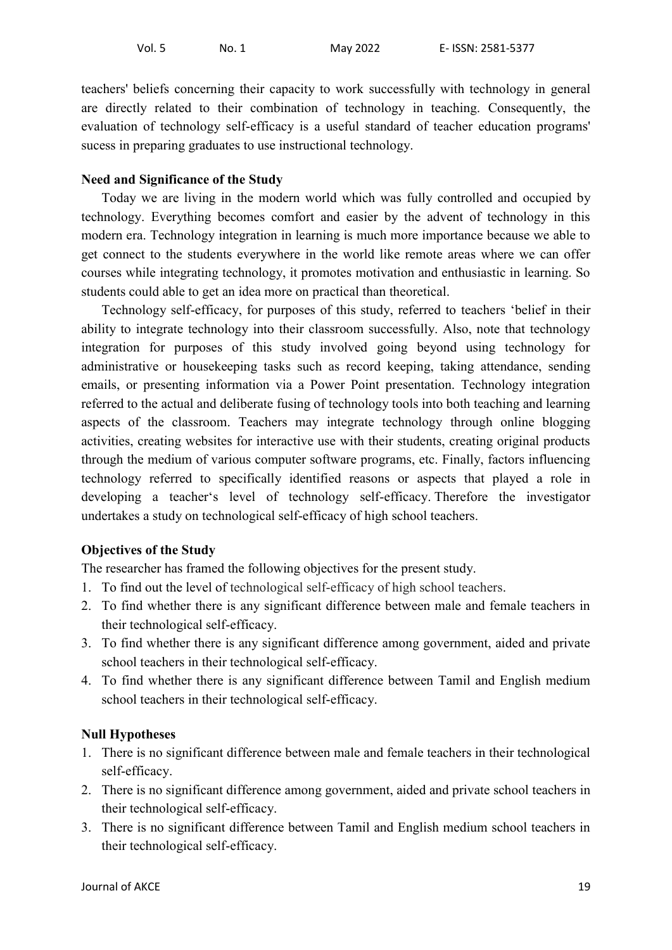teachers' beliefs concerning their capacity to work successfully with technology in general are directly related to their combination of technology in teaching. Consequently, the evaluation of technology self-efficacy is a useful standard of teacher education programs' sucess in preparing graduates to use instructional technology.

### **Need and Significance of the Study**

Today we are living in the modern world which was fully controlled and occupied by technology. Everything becomes comfort and easier by the advent of technology in this modern era. Technology integration in learning is much more importance because we able to get connect to the students everywhere in the world like remote areas where we can offer courses while integrating technology, it promotes motivation and enthusiastic in learning. So students could able to get an idea more on practical than theoretical.

Technology self-efficacy, for purposes of this study, referred to teachers "belief in their ability to integrate technology into their classroom successfully. Also, note that technology integration for purposes of this study involved going beyond using technology for administrative or housekeeping tasks such as record keeping, taking attendance, sending emails, or presenting information via a Power Point presentation. Technology integration referred to the actual and deliberate fusing of technology tools into both teaching and learning aspects of the classroom. Teachers may integrate technology through online blogging activities, creating websites for interactive use with their students, creating original products through the medium of various computer software programs, etc. Finally, factors influencing technology referred to specifically identified reasons or aspects that played a role in developing a teacher"s level of technology self-efficacy. Therefore the investigator undertakes a study on technological self-efficacy of high school teachers.

### **Objectives of the Study**

The researcher has framed the following objectives for the present study.

- 1. To find out the level of technological self-efficacy of high school teachers.
- 2. To find whether there is any significant difference between male and female teachers in their technological self-efficacy.
- 3. To find whether there is any significant difference among government, aided and private school teachers in their technological self-efficacy.
- 4. To find whether there is any significant difference between Tamil and English medium school teachers in their technological self-efficacy.

### **Null Hypotheses**

- 1. There is no significant difference between male and female teachers in their technological self-efficacy.
- 2. There is no significant difference among government, aided and private school teachers in their technological self-efficacy.
- 3. There is no significant difference between Tamil and English medium school teachers in their technological self-efficacy.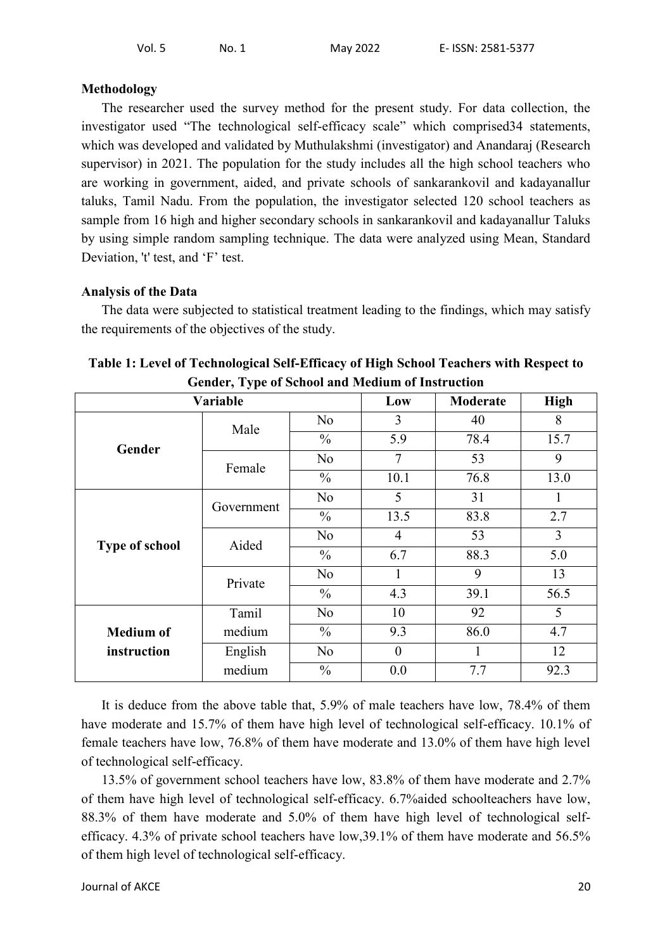#### **Methodology**

The researcher used the survey method for the present study. For data collection, the investigator used "The technological self-efficacy scale" which comprised34 statements, which was developed and validated by Muthulakshmi (investigator) and Anandaraj (Research supervisor) in 2021. The population for the study includes all the high school teachers who are working in government, aided, and private schools of sankarankovil and kadayanallur taluks, Tamil Nadu. From the population, the investigator selected 120 school teachers as sample from 16 high and higher secondary schools in sankarankovil and kadayanallur Taluks by using simple random sampling technique. The data were analyzed using Mean, Standard Deviation, 't' test, and 'F' test.

#### **Analysis of the Data**

The data were subjected to statistical treatment leading to the findings, which may satisfy the requirements of the objectives of the study.

| $\frac{1}{2}$ . The strategy of $\frac{1}{2}$<br>Variable |            |                |                  |      |      |  |
|-----------------------------------------------------------|------------|----------------|------------------|------|------|--|
|                                                           | Low        | Moderate       | <b>High</b>      |      |      |  |
|                                                           | Male       | N <sub>0</sub> | 3                | 40   | 8    |  |
| Gender                                                    |            | $\frac{0}{0}$  | 5.9              | 78.4 | 15.7 |  |
|                                                           | Female     | N <sub>o</sub> | $\overline{7}$   | 53   | 9    |  |
|                                                           |            | $\frac{0}{0}$  | 10.1             | 76.8 | 13.0 |  |
| <b>Type of school</b>                                     | Government | N <sub>o</sub> | 5                | 31   | 1    |  |
|                                                           |            | $\frac{0}{0}$  | 13.5             | 83.8 | 2.7  |  |
|                                                           | Aided      | N <sub>o</sub> | $\overline{4}$   | 53   | 3    |  |
|                                                           |            | $\frac{0}{0}$  | 6.7              | 88.3 | 5.0  |  |
|                                                           | Private    | N <sub>o</sub> | 1                | 9    | 13   |  |
|                                                           |            | $\frac{0}{0}$  | 4.3              | 39.1 | 56.5 |  |
|                                                           | Tamil      | N <sub>o</sub> | 10               | 92   | 5    |  |
| <b>Medium of</b>                                          | medium     | $\frac{0}{0}$  | 9.3              | 86.0 | 4.7  |  |
| instruction                                               | English    | N <sub>o</sub> | $\boldsymbol{0}$ | 1    | 12   |  |
|                                                           | medium     | $\frac{0}{0}$  | 0.0              | 7.7  | 92.3 |  |

| Table 1: Level of Technological Self-Efficacy of High School Teachers with Respect to |
|---------------------------------------------------------------------------------------|
| <b>Gender, Type of School and Medium of Instruction</b>                               |

It is deduce from the above table that, 5.9% of male teachers have low, 78.4% of them have moderate and 15.7% of them have high level of technological self-efficacy. 10.1% of female teachers have low, 76.8% of them have moderate and 13.0% of them have high level of technological self-efficacy.

13.5% of government school teachers have low, 83.8% of them have moderate and 2.7% of them have high level of technological self-efficacy. 6.7%aided schoolteachers have low, 88.3% of them have moderate and 5.0% of them have high level of technological selfefficacy. 4.3% of private school teachers have low,39.1% of them have moderate and 56.5% of them high level of technological self-efficacy.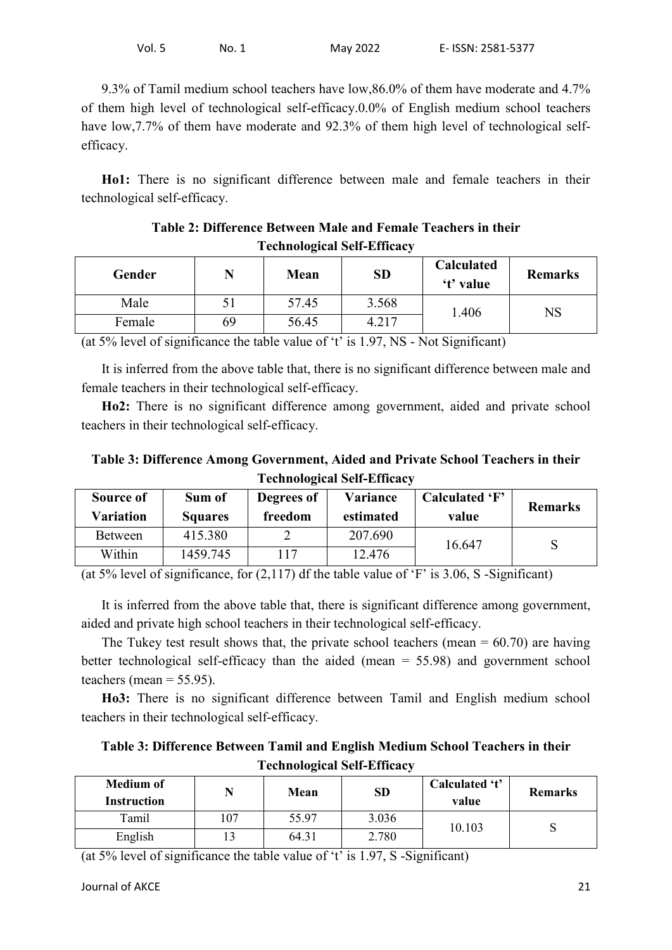9.3% of Tamil medium school teachers have low,86.0% of them have moderate and 4.7% of them high level of technological self-efficacy.0.0% of English medium school teachers have low, 7.7% of them have moderate and 92.3% of them high level of technological selfefficacy.

**Ho1:** There is no significant difference between male and female teachers in their technological self-efficacy.

| Teenhological Sen-Emicacy |    |             |           |                                |                |
|---------------------------|----|-------------|-----------|--------------------------------|----------------|
| Gender                    |    | <b>Mean</b> | <b>SD</b> | <b>Calculated</b><br>'t' value | <b>Remarks</b> |
| Male                      |    | 57.45       | 3.568     | 1.406                          | NS             |
| Female                    | 69 | 56.45       | 4.217     |                                |                |

**Table 2: Difference Between Male and Female Teachers in their Technological Self-Efficacy**

(at  $5\%$  level of significance the table value of 't' is  $1.97$ , NS - Not Significant)

It is inferred from the above table that, there is no significant difference between male and female teachers in their technological self-efficacy.

**Ho2:** There is no significant difference among government, aided and private school teachers in their technological self-efficacy.

**Table 3: Difference Among Government, Aided and Private School Teachers in their Technological Self-Efficacy**

| Source of<br>Variation | Sum of<br><b>Squares</b> | Degrees of<br>freedom | Variance<br>estimated | Calculated 'F'<br>value | <b>Remarks</b> |
|------------------------|--------------------------|-----------------------|-----------------------|-------------------------|----------------|
| <b>Between</b>         | 415.380                  |                       | 207.690               | 16.647                  |                |
| Within                 | 1459.745                 | 17                    | 12.476                |                         |                |

(at 5% level of significance, for  $(2,117)$  df the table value of 'F' is 3.06, S -Significant)

It is inferred from the above table that, there is significant difference among government, aided and private high school teachers in their technological self-efficacy.

The Tukey test result shows that, the private school teachers (mean  $= 60.70$ ) are having better technological self-efficacy than the aided (mean = 55.98) and government school teachers (mean  $= 55.95$ ).

**Ho3:** There is no significant difference between Tamil and English medium school teachers in their technological self-efficacy.

**Table 3: Difference Between Tamil and English Medium School Teachers in their Technological Self-Efficacy**

| <b>Medium of</b><br>Instruction |     | Mean  | SD    | Calculated 't'<br>value | <b>Remarks</b> |
|---------------------------------|-----|-------|-------|-------------------------|----------------|
| Tamil                           | 107 | 55.97 | 3.036 | 10.103                  | N              |
| English                         | ∼ו  | 64.31 | 2.780 |                         |                |

(at 5% level of significance the table value of  $t$  is 1.97, S -Significant)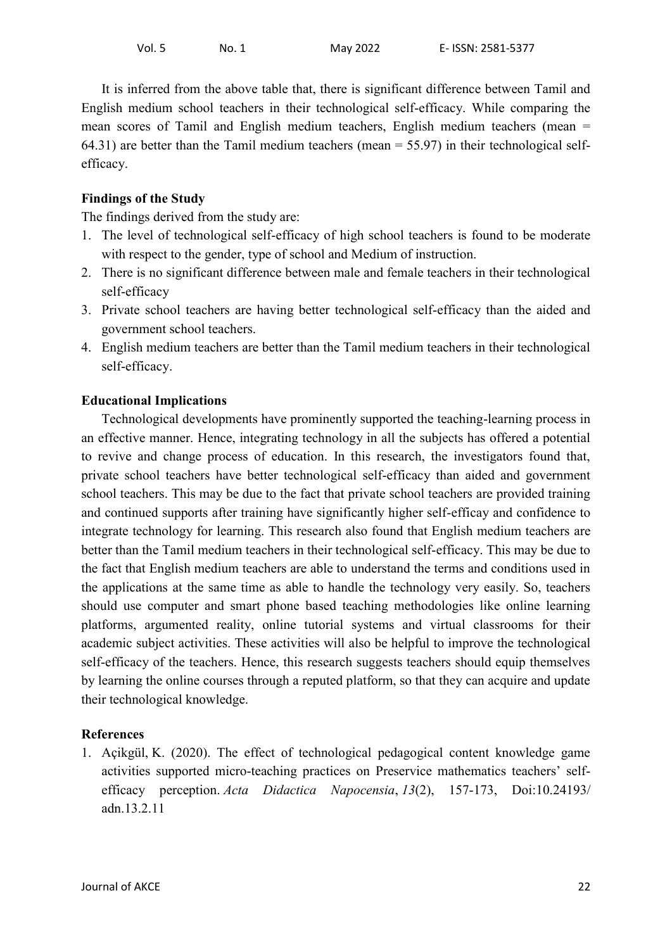It is inferred from the above table that, there is significant difference between Tamil and English medium school teachers in their technological self-efficacy. While comparing the mean scores of Tamil and English medium teachers, English medium teachers (mean = 64.31) are better than the Tamil medium teachers (mean  $=$  55.97) in their technological selfefficacy.

## **Findings of the Study**

The findings derived from the study are:

- 1. The level of technological self-efficacy of high school teachers is found to be moderate with respect to the gender, type of school and Medium of instruction.
- 2. There is no significant difference between male and female teachers in their technological self-efficacy
- 3. Private school teachers are having better technological self-efficacy than the aided and government school teachers.
- 4. English medium teachers are better than the Tamil medium teachers in their technological self-efficacy.

## **Educational Implications**

Technological developments have prominently supported the teaching-learning process in an effective manner. Hence, integrating technology in all the subjects has offered a potential to revive and change process of education. In this research, the investigators found that, private school teachers have better technological self-efficacy than aided and government school teachers. This may be due to the fact that private school teachers are provided training and continued supports after training have significantly higher self-efficay and confidence to integrate technology for learning. This research also found that English medium teachers are better than the Tamil medium teachers in their technological self-efficacy. This may be due to the fact that English medium teachers are able to understand the terms and conditions used in the applications at the same time as able to handle the technology very easily. So, teachers should use computer and smart phone based teaching methodologies like online learning platforms, argumented reality, online tutorial systems and virtual classrooms for their academic subject activities. These activities will also be helpful to improve the technological self-efficacy of the teachers. Hence, this research suggests teachers should equip themselves by learning the online courses through a reputed platform, so that they can acquire and update their technological knowledge.

### **References**

1. Açikgül, K. (2020). The effect of technological pedagogical content knowledge game activities supported micro-teaching practices on Preservice mathematics teachers' selfefficacy perception. *Acta Didactica Napocensia*, *13*(2), 157-173, Doi:10.24193/ adn.13.2.11